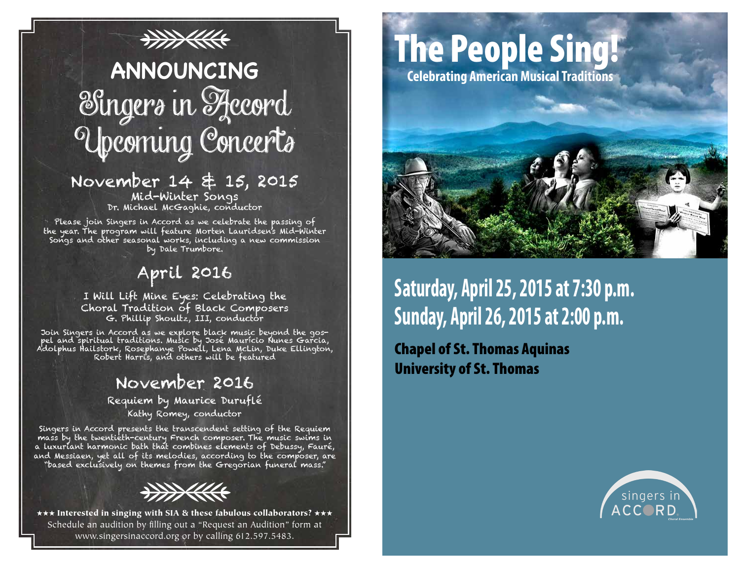## **THE REAL ANNOUNCING** Singers in Accord Upcoming Concerts

#### November 14 & 15, 2015 Mid-Winter Songs Dr. Michael McGaghie, conductor

Please join Singers in Accord as we celebrate the passing of the year. The program will feature Morten Lauridsen's Mid-Winter Songs and other seasonal works, including a new commission by Dale Trumbore.

## April 2016

I Will Lift Mine Eyes: Celebrating the Choral Tradition of Black Composers G. Phillip Shoultz, III, conductor

Join Singers in Accord as we explore black music beyond the gospel and spiritual traditions. Music by José Maurício Nunes Garcia, Adolphus Hailstork, Rosephanye Powell, Lena McLin, Duke Ellington, Robert Harris, and others will be featured

## November 2016

Requiem by Maurice Duruflé Kathy Romey, conductor

Singers in Accord presents the transcendent setting of the Requiem mass by the twentieth-century French composer. The music swims in a luxuriant harmonic bath that combines elements of Debussy, Fauré, and Messiaen, yet all of its melodies, according to the composer, are "based exclusively on themes from the Gregorian funeral mass."



\*\*\* Interested in singing with SIA & these fabulous collaborators? \*\*\* Schedule an audition by filling out a "Request an Audition" form at www.singersinaccord.org or by calling 612.597.5483.

# The People Sing!

**Celebrating American Musical Traditions**



**Saturday, April 25, 2015 at 7:30 p.m. Sunday, April 26, 2015 at 2:00 p.m.**

Chapel of St. Thomas Aquinas University of St. Thomas

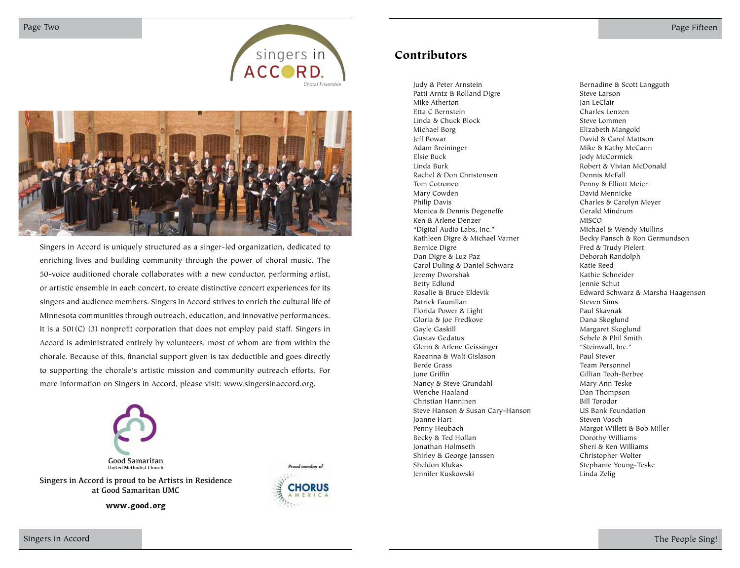



Singers in Accord is uniquely structured as a singer-led organization, dedicated to enriching lives and building community through the power of choral music. The 50-voice auditioned chorale collaborates with a new conductor, performing artist, or artistic ensemble in each concert, to create distinctive concert experiences for its singers and audience members. Singers in Accord strives to enrich the cultural life of Minnesota communities through outreach, education, and innovative performances. It is a 501(C) (3) nonprofit corporation that does not employ paid staff. Singers in Accord is administrated entirely by volunteers, most of whom are from within the chorale. Because of this, financial support given is tax deductible and goes directly to supporting the chorale's artistic mission and community outreach efforts. For more information on Singers in Accord, please visit: www.singersinaccord.org.



Singers in Accord is proud to be Artists in Residence at Good Samaritan UMC

**www.good.org**



#### Contributors

Judy & Peter Arnstein Patti Arntz & Rolland Digre Mike Atherton Etta C Bernstein Linda & Chuck Block Michael Borg Jeff Bowar Adam Breininger Elsie Buck Linda Burk Rachel & Don Christensen Tom Cotroneo Mary Cowden Philip Davis Monica & Dennis Degeneffe Ken & Arlene Denzer "Digital Audio Labs, Inc." Kathleen Digre & Michael Varner Bernice Digre Dan Digre & Luz Paz Carol Duling & Daniel Schwarz Jeremy Dworshak Betty Edlund Rosalie & Bruce Eldevik Patrick Faunillan Florida Power & Light Gloria & Joe Fredkove Gayle Gaskill Gustav Gedatus Glenn & Arlene Geissinger Raeanna & Walt Gislason Berde Grass June Griffin Nancy & Steve Grundahl Wenche Haaland Christian Hanninen Steve Hanson & Susan Cary-Hanson Joanne Hart Penny Heubach Becky & Ted Hollan Jonathan Holmseth Shirley & George Janssen Sheldon Klukas Jennifer Kuskowski

Bernadine & Scott Langguth Steve Larson Jan LeClair Charles Lenzen Steve Lommen Elizabeth Mangold David & Carol Mattson Mike & Kathy McCann Jody McCormick Robert & Vivian McDonald Dennis McFall Penny & Elliott Meier David Mennicke Charles & Carolyn Meyer Gerald Mindrum MISCO Michael & Wendy Mullins Becky Pansch & Ron Germundson Fred & Trudy Pielert Deborah Randolph Katie Reed Kathie Schneider Jennie Schut Edward Schwarz & Marsha Haagenson Steven Sims Paul Skavnak Dana Skoglund Margaret Skoglund Schele & Phil Smith "Steinwall, Inc." Paul Stever Team Personnel Gillian Teoh-Berbee Mary Ann Teske Dan Thompson Bill Torodor US Bank Foundation Steven Vosch Margot Willett & Bob Miller Dorothy Williams Sheri & Ken Williams Christopher Wolter Stephanie Young-Teske Linda Zelig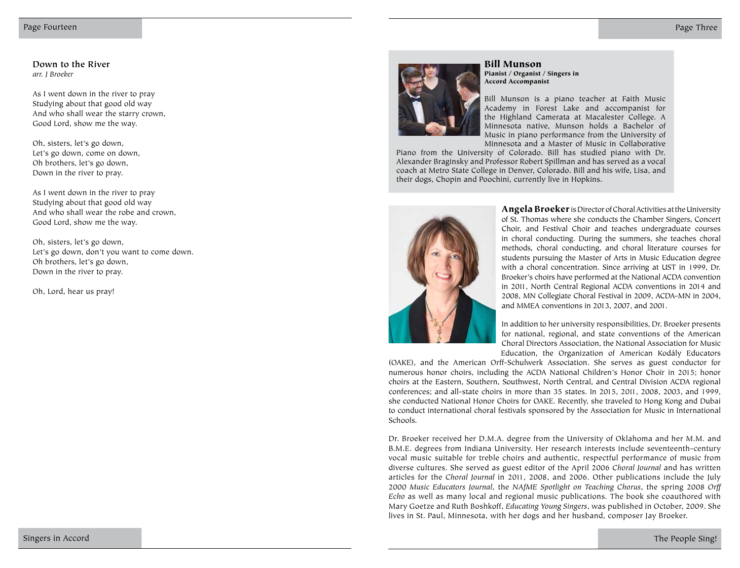**Down to the River** *arr. J Broeker*

As I went down in the river to pray Studying about that good old way And who shall wear the starry crown, Good Lord, show me the way.

Oh, sisters, let's go down, Let's go down, come on down, Oh brothers, let's go down, Down in the river to pray.

As I went down in the river to pray Studying about that good old way And who shall wear the robe and crown, Good Lord, show me the way.

Oh, sisters, let's go down, Let's go down, don't you want to come down. Oh brothers, let's go down, Down in the river to pray.

Oh, Lord, hear us pray!



#### Bill Munson Pianist / Organist / Singers in Accord Accompanist

Bill Munson is a piano teacher at Faith Music Academy in Forest Lake and accompanist for the Highland Camerata at Macalester College. A Minnesota native, Munson holds a Bachelor of Music in piano performance from the University of Minnesota and a Master of Music in Collaborative

Piano from the University of Colorado. Bill has studied piano with Dr. Alexander Braginsky and Professor Robert Spillman and has served as a vocal coach at Metro State College in Denver, Colorado. Bill and his wife, Lisa, and their dogs, Chopin and Poochini, currently live in Hopkins.



Angela Broeker is Director of Choral Activities at the University of St. Thomas where she conducts the Chamber Singers, Concert Choir, and Festival Choir and teaches undergraduate courses in choral conducting. During the summers, she teaches choral methods, choral conducting, and choral literature courses for students pursuing the Master of Arts in Music Education degree with a choral concentration. Since arriving at UST in 1999, Dr. Broeker's choirs have performed at the National ACDA convention in 2011, North Central Regional ACDA conventions in 2014 and 2008, MN Collegiate Choral Festival in 2009, ACDA-MN in 2004, and MMEA conventions in 2013, 2007, and 2001.

In addition to her university responsibilities, Dr. Broeker presents for national, regional, and state conventions of the American Choral Directors Association, the National Association for Music Education, the Organization of American Kodály Educators

(OAKE), and the American Orff-Schulwerk Association. She serves as guest conductor for numerous honor choirs, including the ACDA National Children's Honor Choir in 2015; honor choirs at the Eastern, Southern, Southwest, North Central, and Central Division ACDA regional conferences; and all-state choirs in more than 35 states. In 2015, 2011, 2008, 2003, and 1999, she conducted National Honor Choirs for OAKE. Recently, she traveled to Hong Kong and Dubai to conduct international choral festivals sponsored by the Association for Music in International Schools.

Dr. Broeker received her D.M.A. degree from the University of Oklahoma and her M.M. and B.M.E. degrees from Indiana University. Her research interests include seventeenth-century vocal music suitable for treble choirs and authentic, respectful performance of music from diverse cultures. She served as guest editor of the April 2006 *Choral Journal* and has written articles for the *Choral Journal* in 2011, 2008, and 2006. Other publications include the July 2000 *Music Educators Journal*, the *NAfME Spotlight on Teaching Chorus*, the spring 2008 *Orff Echo* as well as many local and regional music publications. The book she coauthored with Mary Goetze and Ruth Boshkoff, *Educating Young Singers*, was published in October, 2009. She lives in St. Paul, Minnesota, with her dogs and her husband, composer Jay Broeker.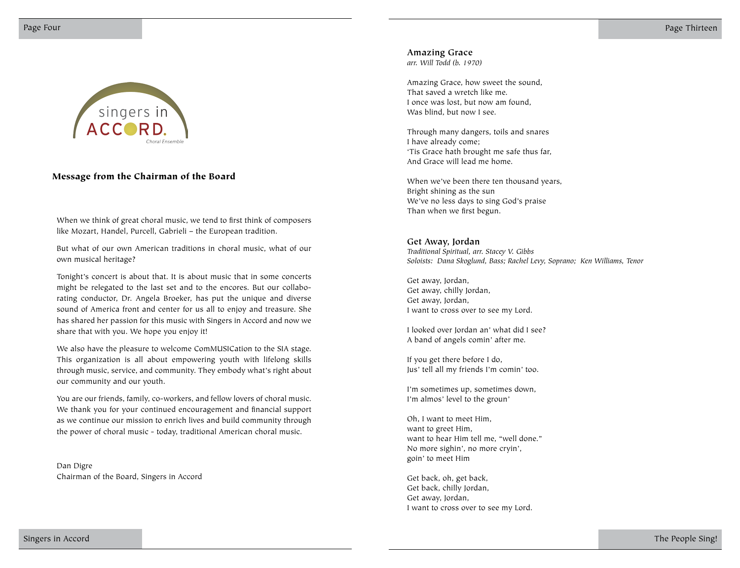

#### Message from the Chairman of the Board

When we think of great choral music, we tend to first think of composers like Mozart, Handel, Purcell, Gabrieli – the European tradition.

But what of our own American traditions in choral music, what of our own musical heritage?

Tonight's concert is about that. It is about music that in some concerts might be relegated to the last set and to the encores. But our collaborating conductor, Dr. Angela Broeker, has put the unique and diverse sound of America front and center for us all to enjoy and treasure. She has shared her passion for this music with Singers in Accord and now we share that with you. We hope you enjoy it!

We also have the pleasure to welcome ComMUSICation to the SIA stage. This organization is all about empowering youth with lifelong skills through music, service, and community. They embody what's right about our community and our youth.

You are our friends, family, co-workers, and fellow lovers of choral music. We thank you for your continued encouragement and financial support as we continue our mission to enrich lives and build community through the power of choral music - today, traditional American choral music.

Dan Digre Chairman of the Board, Singers in Accord **Amazing Grace**

*arr. Will Todd (b. 1970)*

Amazing Grace, how sweet the sound, That saved a wretch like me. I once was lost, but now am found, Was blind, but now I see.

Through many dangers, toils and snares I have already come; 'Tis Grace hath brought me safe thus far, And Grace will lead me home.

When we've been there ten thousand years, Bright shining as the sun We've no less days to sing God's praise Than when we first begun.

#### **Get Away, Jordan**

*Traditional Spiritual, arr. Stacey V. Gibbs Soloists: Dana Skoglund, Bass; Rachel Levy, Soprano; Ken Williams, Tenor*

Get away, Jordan, Get away, chilly Jordan, Get away, Jordan, I want to cross over to see my Lord.

I looked over Jordan an' what did I see? A band of angels comin' after me.

If you get there before I do, Jus' tell all my friends I'm comin' too.

I'm sometimes up, sometimes down, I'm almos' level to the groun'

Oh, I want to meet Him, want to greet Him, want to hear Him tell me, "well done." No more sighin', no more cryin', goin' to meet Him

Get back, oh, get back, Get back, chilly Jordan, Get away, Jordan, I want to cross over to see my Lord.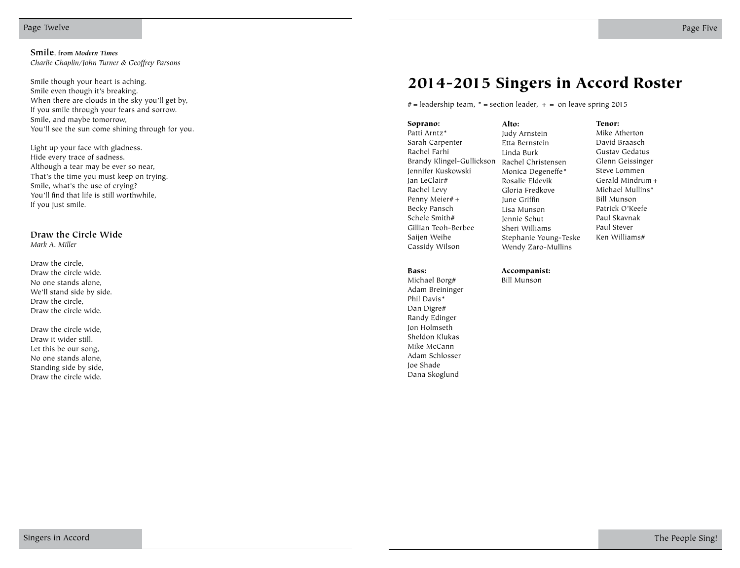Smile though your heart is aching. Smile even though it's breaking. When there are clouds in the sky you'll get by, If you smile through your fears and sorrow. Smile, and maybe tomorrow, You'll see the sun come shining through for you.

Light up your face with gladness. Hide every trace of sadness. Although a tear may be ever so near, That's the time you must keep on trying. Smile, what's the use of crying? You'll find that life is still worthwhile, If you just smile.

**Draw the Circle Wide** *Mark A. Miller*

Draw the circle, Draw the circle wide. No one stands alone, We'll stand side by side. Draw the circle, Draw the circle wide.

Draw the circle wide, Draw it wider still. Let this be our song, No one stands alone, Standing side by side, Draw the circle wide.

### 2014-2015 Singers in Accord Roster

 $#$  = leadership team,  $*$  = section leader,  $+$  = on leave spring 2015

Soprano: Patti Arntz\* Sarah Carpenter Rachel Farhi Brandy Klingel-Gullickson Jennifer Kuskowski Jan LeClair# Rachel Levy Penny Meier#+ Becky Pansch Schele Smith# Gillian Teoh-Berbee Saijen Weihe Cassidy Wilson

Bass:

Michael Borg# Adam Breininger Phil Davis\* Dan Digre# Randy Edinger Jon Holmseth Sheldon Klukas Mike McCann Adam Schlosser Joe Shade Dana Skoglund

Alto: Judy Arnstein Etta Bernstein Linda Burk Rachel Christensen Monica Degeneffe\* Rosalie Eldevik Gloria Fredkove June Griffin Lisa Munson Jennie Schut Sheri Williams Stephanie Young-Teske Wendy Zaro-Mullins

Tenor: Mike Atherton David Braasch Gustav Gedatus Glenn Geissinger Steve Lommen Gerald Mindrum+ Michael Mullins\* Bill Munson Patrick O'Keefe Paul Skavnak Paul Stever Ken Williams#

Accompanist: Bill Munson

Singers in Accord The People Sing!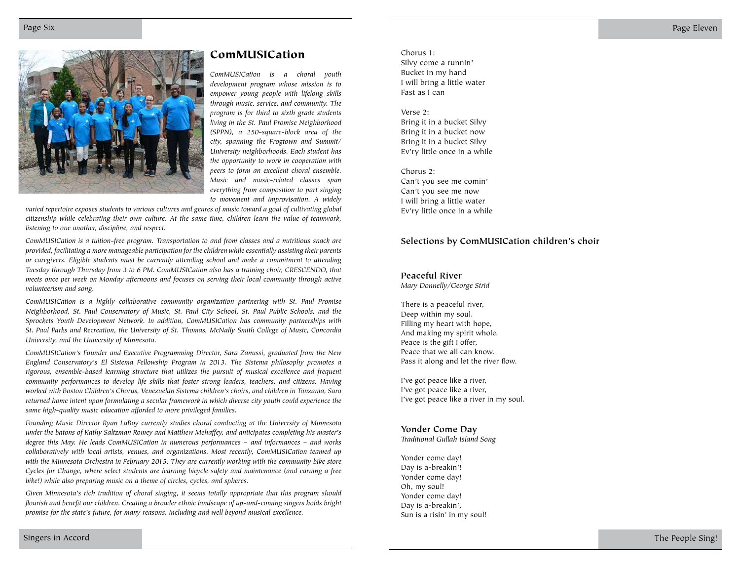

#### ComMUSICation Chorus 1:

*ComMUSICation is a choral youth development program whose mission is to empower young people with lifelong skills through music, service, and community. The program is for third to sixth grade students living in the St. Paul Promise Neighborhood (SPPN), a 250-square-block area of the city, spanning the Frogtown and Summit/ University neighborhoods. Each student has the opportunity to work in cooperation with peers to form an excellent choral ensemble. Music and music-related classes span everything from composition to part singing to movement and improvisation. A widely* 

*varied repertoire exposes students to various cultures and genres of music toward a goal of cultivating global citizenship while celebrating their own culture. At the same time, children learn the value of teamwork, listening to one another, discipline, and respect.* 

*ComMUSICation is a tuition-free program. Transportation to and from classes and a nutritious snack are provided, facilitating a more manageable participation for the children while essentially assisting their parents or caregivers. Eligible students must be currently attending school and make a commitment to attending Tuesday through Thursday from 3 to 6 PM. ComMUSICation also has a training choir, CRESCENDO, that meets once per week on Monday afternoons and focuses on serving their local community through active volunteerism and song.* 

*ComMUSICation is a highly collaborative community organization partnering with St. Paul Promise Neighborhood, St. Paul Conservatory of Music, St. Paul City School, St. Paul Public Schools, and the Sprockets Youth Development Network. In addition, ComMUSICation has community partnerships with St. Paul Parks and Recreation, the University of St. Thomas, McNally Smith College of Music, Concordia University, and the University of Minnesota.* 

*ComMUSICation's Founder and Executive Programming Director, Sara Zanussi, graduated from the New England Conservatory's El Sistema Fellowship Program in 2013. The Sistema philosophy promotes a rigorous, ensemble-based learning structure that utilizes the pursuit of musical excellence and frequent community performances to develop life skills that foster strong leaders, teachers, and citizens. Having worked with Boston Children's Chorus, Venezuelan Sistema children's choirs, and children in Tanzania, Sara returned home intent upon formulating a secular framework in which diverse city youth could experience the same high-quality music education afforded to more privileged families.* 

*Founding Music Director Ryan LaBoy currently studies choral conducting at the University of Minnesota under the batons of Kathy Saltzman Romey and Matthew Mehaffey, and anticipates completing his master's degree this May. He leads ComMUSICation in numerous performances – and informances – and works collaboratively with local artists, venues, and organizations. Most recently, ComMUSICation teamed up with the Minnesota Orchestra in February 2015. They are currently working with the community bike store Cycles for Change, where select students are learning bicycle safety and maintenance (and earning a free bike!) while also preparing music on a theme of circles, cycles, and spheres.* 

*Given Minnesota's rich tradition of choral singing, it seems totally appropriate that this program should flourish and benefit our children. Creating a broader ethnic landscape of up-and-coming singers holds bright promise for the state's future, for many reasons, including and well beyond musical excellence.* 

Silvy come a runnin' Bucket in my hand I will bring a little water Fast as I can

#### Verse 2:

Bring it in a bucket Silvy Bring it in a bucket now Bring it in a bucket Silvy Ev'ry little once in a while

Chorus 2: Can't you see me comin' Can't you see me now I will bring a little water Ev'ry little once in a while

#### **Selections by ComMUSICation children's choir**

#### **Peaceful River**

*Mary Donnelly/George Strid*

There is a peaceful river, Deep within my soul. Filling my heart with hope, And making my spirit whole. Peace is the gift I offer, Peace that we all can know. Pass it along and let the river flow.

I've got peace like a river, I've got peace like a river, I've got peace like a river in my soul.

#### **Yonder Come Day**

*Traditional Gullah Island Song*

Yonder come day! Day is a-breakin'! Yonder come day! Oh, my soul! Yonder come day! Day is a-breakin', Sun is a risin' in my soul!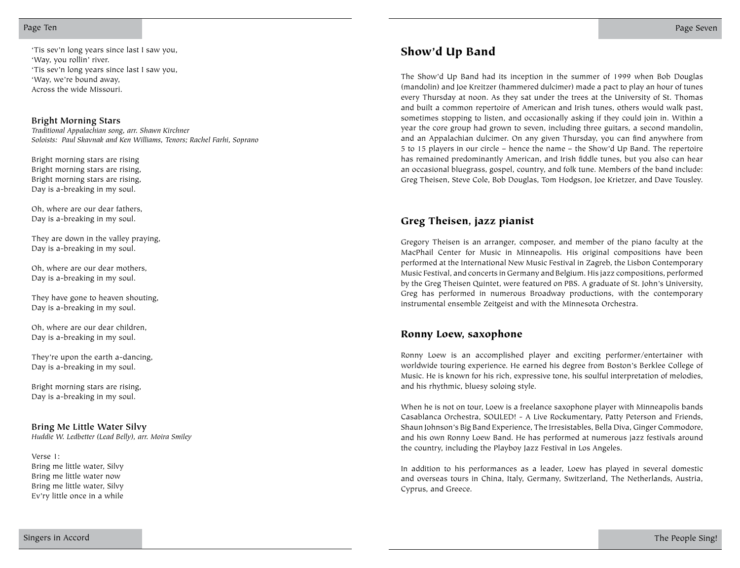Page Ten Page Seven

'Tis sev'n long years since last I saw you,<br>'Way, you rollin' river. **Show'd Up Band** 'Tis sev'n long years since last I saw you, 'Way, we're bound away, Across the wide Missouri.

#### **Bright Morning Stars**

*Traditional Appalachian song, arr. Shawn Kirchner Soloists: Paul Skavnak and Ken Williams, Tenors; Rachel Farhi, Soprano*

Bright morning stars are rising Bright morning stars are rising, Bright morning stars are rising, Day is a-breaking in my soul.

Oh, where are our dear fathers, Day is a-breaking in my soul.

They are down in the valley praying, Day is a-breaking in my soul.

Oh, where are our dear mothers, Day is a-breaking in my soul.

They have gone to heaven shouting, Day is a-breaking in my soul.

Oh, where are our dear children, Day is a-breaking in my soul.

They're upon the earth a-dancing, Day is a-breaking in my soul.

Bright morning stars are rising, Day is a-breaking in my soul.

#### **Bring Me Little Water Silvy**

*Huddie W. Ledbetter (Lead Belly), arr. Moira Smiley*

Verse 1: Bring me little water, Silvy Bring me little water now Bring me little water, Silvy Ev'ry little once in a while

The Show'd Up Band had its inception in the summer of 1999 when Bob Douglas (mandolin) and Joe Kreitzer (hammered dulcimer) made a pact to play an hour of tunes every Thursday at noon. As they sat under the trees at the University of St. Thomas and built a common repertoire of American and Irish tunes, others would walk past, sometimes stopping to listen, and occasionally asking if they could join in. Within a year the core group had grown to seven, including three guitars, a second mandolin, and an Appalachian dulcimer. On any given Thursday, you can find anywhere from 5 to 15 players in our circle – hence the name – the Show'd Up Band. The repertoire has remained predominantly American, and Irish fiddle tunes, but you also can hear an occasional bluegrass, gospel, country, and folk tune. Members of the band include: Greg Theisen, Steve Cole, Bob Douglas, Tom Hodgson, Joe Krietzer, and Dave Tousley.

#### Greg Theisen, jazz pianist

Gregory Theisen is an arranger, composer, and member of the piano faculty at the MacPhail Center for Music in Minneapolis. His original compositions have been performed at the International New Music Festival in Zagreb, the Lisbon Contemporary Music Festival, and concerts in Germany and Belgium. His jazz compositions, performed by the Greg Theisen Quintet, were featured on PBS. A graduate of St. John's University, Greg has performed in numerous Broadway productions, with the contemporary instrumental ensemble Zeitgeist and with the Minnesota Orchestra.

#### Ronny Loew, saxophone

Ronny Loew is an accomplished player and exciting performer/entertainer with worldwide touring experience. He earned his degree from Boston's Berklee College of Music. He is known for his rich, expressive tone, his soulful interpretation of melodies, and his rhythmic, bluesy soloing style.

When he is not on tour, Loew is a freelance saxophone player with Minneapolis bands Casablanca Orchestra, SOULED! - A Live Rockumentary, Patty Peterson and Friends, Shaun Johnson's Big Band Experience, The Irresistables, Bella Diva, Ginger Commodore, and his own Ronny Loew Band. He has performed at numerous jazz festivals around the country, including the Playboy Jazz Festival in Los Angeles.

In addition to his performances as a leader, Loew has played in several domestic and overseas tours in China, Italy, Germany, Switzerland, The Netherlands, Austria, Cyprus, and Greece.